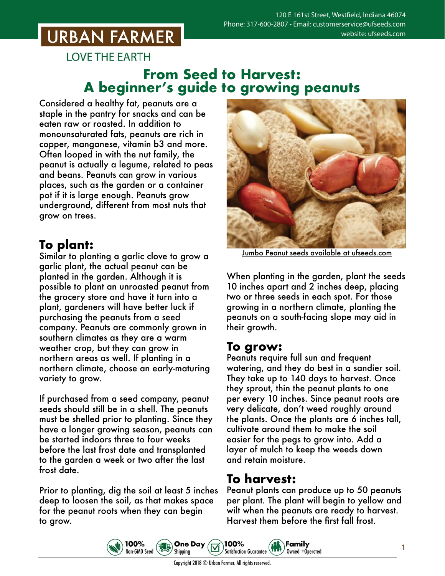## **URBAN FARMER**

**LOVE THE EARTH** 

#### **From Seed to Harvest: A beginner's guide to growing peanuts**

Considered a healthy fat, peanuts are a staple in the pantry for snacks and can be eaten raw or roasted. In addition to monounsaturated fats, peanuts are rich in copper, manganese, vitamin b3 and more. Often looped in with the nut family, the peanut is actually a legume, related to peas and beans. Peanuts can grow in various places, such as the garden or a container pot if it is large enough. Peanuts grow underground, different from most nuts that grow on trees.

## **To plant:**

Similar to planting a garlic clove to grow a garlic plant, the actual peanut can be planted in the garden. Although it is possible to plant an unroasted peanut from the grocery store and have it turn into a plant, gardeners will have better luck if purchasing the peanuts from a seed company. Peanuts are commonly grown in southern climates as they are a warm weather crop, but they can grow in northern areas as well. If planting in a northern climate, choose an early-maturing variety to grow.

If purchased from a seed company, peanut seeds should still be in a shell. The peanuts must be shelled prior to planting. Since they have a longer growing season, peanuts can be started indoors three to four weeks before the last frost date and transplanted to the garden a week or two after the last frost date.

Prior to planting, dig the soil at least 5 inches deep to loosen the soil, as that makes space for the peanut roots when they can begin to grow.

100%

Non-GMO Seed



Jumbo Peanut seeds [available at ufseeds.com](https://www.ufseeds.com/product-category/vegetables/peanuts/)

When planting in the garden, plant the seeds 10 inches apart and 2 inches deep, placing two or three seeds in each spot. For those growing in a northern climate, planting the peanuts on a south-facing slope may aid in their growth.

#### **To grow:**

Peanuts require full sun and frequent watering, and they do best in a sandier soil. They take up to 140 days to harvest. Once they sprout, thin the peanut plants to one per every 10 inches. Since peanut roots are very delicate, don't weed roughly around the plants. Once the plants are 6 inches tall, cultivate around them to make the soil easier for the pegs to grow into. Add a layer of mulch to keep the weeds down and retain moisture.

## **To harvest:**

Peanut plants can produce up to 50 peanuts per plant. The plant will begin to yellow and wilt when the peanuts are ready to harvest. Harvest them before the first fall frost.

Family

Owned +Operated

1



**One Day** 

Shipping

100%

**Satisfaction Guarantee**